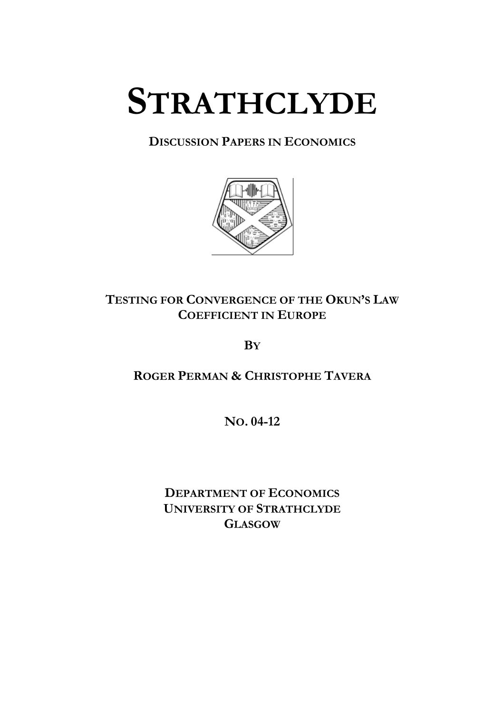# **STRATHCLYDE**

# **DISCUSSION PAPERS IN ECONOMICS**



# **TESTING FOR CONVERGENCE OF THE OKUN'S LAW COEFFICIENT IN EUROPE**

**BY**

**ROGER PERMAN & CHRISTOPHE TAVERA**

**NO. 04-12** 

**DEPARTMENT OF ECONOMICS UNIVERSITY OF STRATHCLYDE GLASGOW**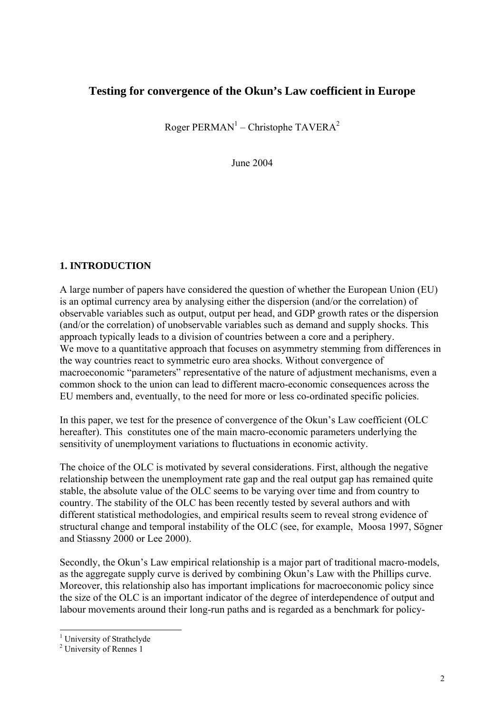# **Testing for convergence of the Okun's Law coefficient in Europe**

Roger PERMAN<sup>[1](#page-1-0)</sup> – Christophe TAVERA<sup>2</sup>

June 2004

## **1. INTRODUCTION**

A large number of papers have considered the question of whether the European Union (EU) is an optimal currency area by analysing either the dispersion (and/or the correlation) of observable variables such as output, output per head, and GDP growth rates or the dispersion (and/or the correlation) of unobservable variables such as demand and supply shocks. This approach typically leads to a division of countries between a core and a periphery. We move to a quantitative approach that focuses on asymmetry stemming from differences in the way countries react to symmetric euro area shocks. Without convergence of macroeconomic "parameters" representative of the nature of adjustment mechanisms, even a common shock to the union can lead to different macro-economic consequences across the EU members and, eventually, to the need for more or less co-ordinated specific policies.

In this paper, we test for the presence of convergence of the Okun's Law coefficient (OLC hereafter). This constitutes one of the main macro-economic parameters underlying the sensitivity of unemployment variations to fluctuations in economic activity.

The choice of the OLC is motivated by several considerations. First, although the negative relationship between the unemployment rate gap and the real output gap has remained quite stable, the absolute value of the OLC seems to be varying over time and from country to country. The stability of the OLC has been recently tested by several authors and with different statistical methodologies, and empirical results seem to reveal strong evidence of structural change and temporal instability of the OLC (see, for example, Moosa 1997, Sögner and Stiassny 2000 or Lee 2000).

Secondly, the Okun's Law empirical relationship is a major part of traditional macro-models, as the aggregate supply curve is derived by combining Okun's Law with the Phillips curve. Moreover, this relationship also has important implications for macroeconomic policy since the size of the OLC is an important indicator of the degree of interdependence of output and labour movements around their long-run paths and is regarded as a benchmark for policy-

<span id="page-1-0"></span><sup>|&</sup>lt;br>|  $<sup>1</sup>$  University of Strathclyde</sup>

<span id="page-1-1"></span><sup>&</sup>lt;sup>2</sup> University of Rennes 1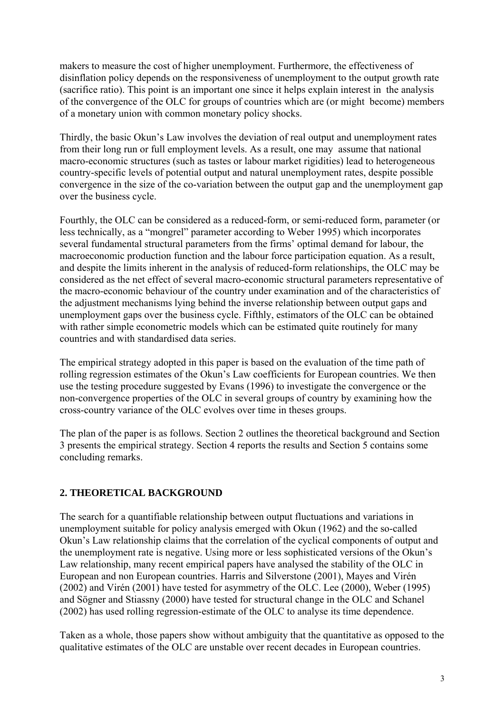makers to measure the cost of higher unemployment. Furthermore, the effectiveness of disinflation policy depends on the responsiveness of unemployment to the output growth rate (sacrifice ratio). This point is an important one since it helps explain interest in the analysis of the convergence of the OLC for groups of countries which are (or might become) members of a monetary union with common monetary policy shocks.

Thirdly, the basic Okun's Law involves the deviation of real output and unemployment rates from their long run or full employment levels. As a result, one may assume that national macro-economic structures (such as tastes or labour market rigidities) lead to heterogeneous country-specific levels of potential output and natural unemployment rates, despite possible convergence in the size of the co-variation between the output gap and the unemployment gap over the business cycle.

Fourthly, the OLC can be considered as a reduced-form, or semi-reduced form, parameter (or less technically, as a "mongrel" parameter according to Weber 1995) which incorporates several fundamental structural parameters from the firms' optimal demand for labour, the macroeconomic production function and the labour force participation equation. As a result, and despite the limits inherent in the analysis of reduced-form relationships, the OLC may be considered as the net effect of several macro-economic structural parameters representative of the macro-economic behaviour of the country under examination and of the characteristics of the adjustment mechanisms lying behind the inverse relationship between output gaps and unemployment gaps over the business cycle. Fifthly, estimators of the OLC can be obtained with rather simple econometric models which can be estimated quite routinely for many countries and with standardised data series.

The empirical strategy adopted in this paper is based on the evaluation of the time path of rolling regression estimates of the Okun's Law coefficients for European countries. We then use the testing procedure suggested by Evans (1996) to investigate the convergence or the non-convergence properties of the OLC in several groups of country by examining how the cross-country variance of the OLC evolves over time in theses groups.

The plan of the paper is as follows. Section 2 outlines the theoretical background and Section 3 presents the empirical strategy. Section 4 reports the results and Section 5 contains some concluding remarks.

# **2. THEORETICAL BACKGROUND**

The search for a quantifiable relationship between output fluctuations and variations in unemployment suitable for policy analysis emerged with Okun (1962) and the so-called Okun's Law relationship claims that the correlation of the cyclical components of output and the unemployment rate is negative. Using more or less sophisticated versions of the Okun's Law relationship, many recent empirical papers have analysed the stability of the OLC in European and non European countries. Harris and Silverstone (2001), Mayes and Virén (2002) and Virén (2001) have tested for asymmetry of the OLC. Lee (2000), Weber (1995) and Sögner and Stiassny (2000) have tested for structural change in the OLC and Schanel (2002) has used rolling regression-estimate of the OLC to analyse its time dependence.

Taken as a whole, those papers show without ambiguity that the quantitative as opposed to the qualitative estimates of the OLC are unstable over recent decades in European countries.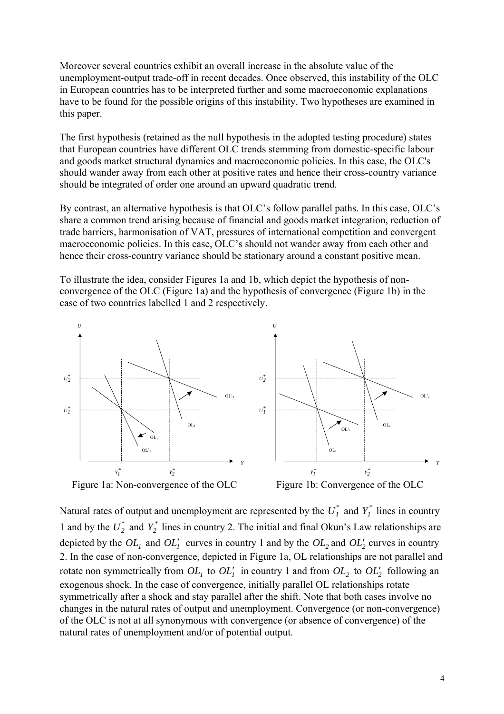Moreover several countries exhibit an overall increase in the absolute value of the unemployment-output trade-off in recent decades. Once observed, this instability of the OLC in European countries has to be interpreted further and some macroeconomic explanations have to be found for the possible origins of this instability. Two hypotheses are examined in this paper.

The first hypothesis (retained as the null hypothesis in the adopted testing procedure) states that European countries have different OLC trends stemming from domestic-specific labour and goods market structural dynamics and macroeconomic policies. In this case, the OLC's should wander away from each other at positive rates and hence their cross-country variance should be integrated of order one around an upward quadratic trend.

By contrast, an alternative hypothesis is that OLC's follow parallel paths. In this case, OLC's share a common trend arising because of financial and goods market integration, reduction of trade barriers, harmonisation of VAT, pressures of international competition and convergent macroeconomic policies. In this case, OLC's should not wander away from each other and hence their cross-country variance should be stationary around a constant positive mean.

To illustrate the idea, consider Figures 1a and 1b, which depict the hypothesis of nonconvergence of the OLC (Figure 1a) and the hypothesis of convergence (Figure 1b) in the case of two countries labelled 1 and 2 respectively.



Natural rates of output and unemployment are represented by the  $U_I^*$  and  $Y_I^*$  lines in country 1 and by the  $U_2^*$  and  $Y_2^*$  lines in country 2. The initial and final Okun's Law relationships are depicted by the  $OL_1$  and  $OL_1'$  curves in country 1 and by the  $OL_2$  and  $OL_2'$  curves in country 2. In the case of non-convergence, depicted in Figure 1a, OL relationships are not parallel and rotate non symmetrically from  $OL_1$  to  $OL_1'$  in country 1 and from  $OL_2$  to  $OL_2'$  following an exogenous shock. In the case of convergence, initially parallel OL relationships rotate symmetrically after a shock and stay parallel after the shift. Note that both cases involve no changes in the natural rates of output and unemployment. Convergence (or non-convergence) of the OLC is not at all synonymous with convergence (or absence of convergence) of the natural rates of unemployment and/or of potential output.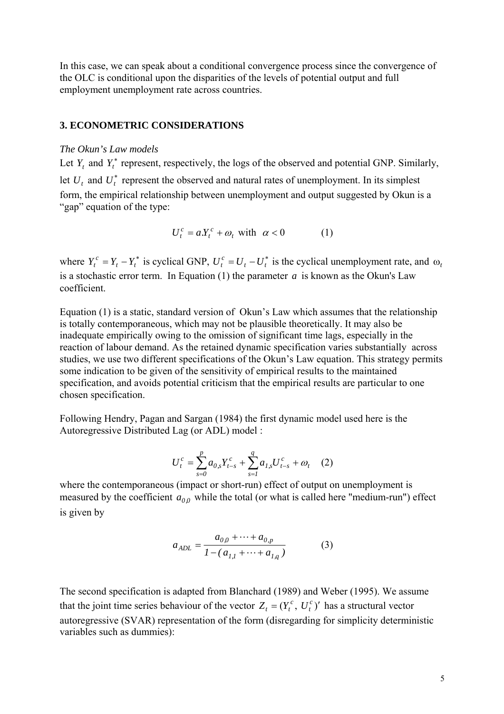In this case, we can speak about a conditional convergence process since the convergence of the OLC is conditional upon the disparities of the levels of potential output and full employment unemployment rate across countries.

#### **3. ECONOMETRIC CONSIDERATIONS**

#### *The Okun's Law models*

Let  $Y_t$  and  $Y_t^*$  represent, respectively, the logs of the observed and potential GNP. Similarly, let  $U_t$  and  $U_t^*$  represent the observed and natural rates of unemployment. In its simplest form, the empirical relationship between unemployment and output suggested by Okun is a "gap" equation of the type:

$$
U_t^c = aX_t^c + \omega_t \text{ with } \alpha < 0 \tag{1}
$$

where  $Y_t^c = Y_t - Y_t^*$  is cyclical GNP,  $U_t^c = U_t - U_t^*$  is the cyclical unemployment rate, and  $\omega_t$ is a stochastic error term. In Equation  $(1)$  the parameter  $a$  is known as the Okun's Law coefficient.

Equation (1) is a static, standard version of Okun's Law which assumes that the relationship is totally contemporaneous, which may not be plausible theoretically. It may also be inadequate empirically owing to the omission of significant time lags, especially in the reaction of labour demand. As the retained dynamic specification varies substantially across studies, we use two different specifications of the Okun's Law equation. This strategy permits some indication to be given of the sensitivity of empirical results to the maintained specification, and avoids potential criticism that the empirical results are particular to one chosen specification.

Following Hendry, Pagan and Sargan (1984) the first dynamic model used here is the Autoregressive Distributed Lag (or ADL) model :

$$
U_t^c = \sum_{s=0}^p a_{0,s} Y_{t-s}^c + \sum_{s=1}^q a_{1,s} U_{t-s}^c + \omega_t \quad (2)
$$

where the contemporaneous (impact or short-run) effect of output on unemployment is measured by the coefficient  $a_{0,0}$  while the total (or what is called here "medium-run") effect is given by

$$
a_{ADL} = \frac{a_{0,0} + \dots + a_{0,p}}{1 - (a_{1,1} + \dots + a_{1,q})}
$$
 (3)

The second specification is adapted from Blanchard (1989) and Weber (1995). We assume that the joint time series behaviour of the vector  $Z_t = (Y_t^c, U_t^c)'$  has a structural vector autoregressive (SVAR) representation of the form (disregarding for simplicity deterministic variables such as dummies):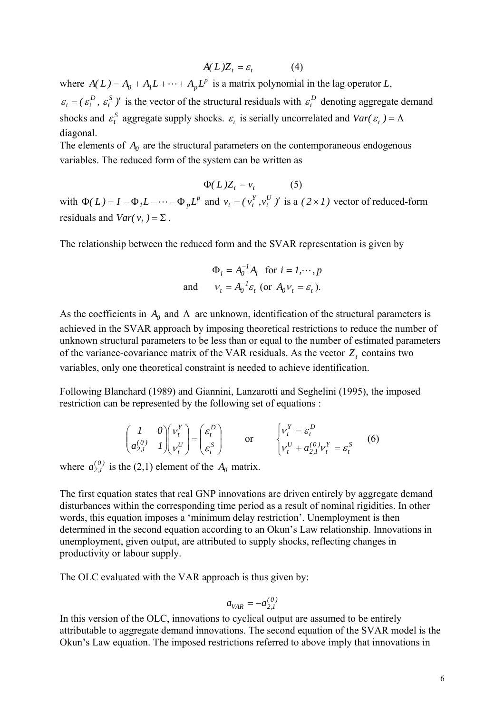$$
A(L)Z_t = \varepsilon_t \tag{4}
$$

where  $A(L) = A_0 + A_1 L + \cdots + A_p L^p$  is a matrix polynomial in the lag operator *L*,  $(\varepsilon_t^D, \varepsilon_t^S)$  is the vector of the structural residuals with  $\varepsilon_t^D$  denoting aggregate demand shocks and  $\varepsilon_t^S$  aggregate supply shocks.  $\varepsilon_t$  is serially uncorrelated and *Var(*  $\varepsilon_t$ ) =  $\Lambda$  $\varepsilon_t = ( \varepsilon_t^D, \varepsilon_t^S )'$  is the vector of the structural residuals with  $\varepsilon_t^D$ diagonal.

The elements of  $A_0$  are the structural parameters on the contemporaneous endogenous variables. The reduced form of the system can be written as

$$
\Phi(L)Z_t = v_t \tag{5}
$$

with  $\Phi(L) = I - \Phi_1 L - \cdots - \Phi_p L^p$  and  $v_t = (v_t^Y, v_t^U)$  is a  $y_t = (v_t^Y, v_t^U)$  is a  $(2 \times I)$  vector of reduced-form residuals and *Var*( $v_t$ ) =  $\Sigma$ .

The relationship between the reduced form and the SVAR representation is given by

$$
\Phi_i = A_0^{-1} A_i \text{ for } i = 1, \dots, p
$$
  
and 
$$
\nu_t = A_0^{-1} \varepsilon_t \text{ (or } A_0 \nu_t = \varepsilon_t \text{)}.
$$

As the coefficients in  $A_0$  and  $\Lambda$  are unknown, identification of the structural parameters is achieved in the SVAR approach by imposing theoretical restrictions to reduce the number of unknown structural parameters to be less than or equal to the number of estimated parameters of the variance-covariance matrix of the VAR residuals. As the vector  $Z_t$  contains two variables, only one theoretical constraint is needed to achieve identification.

Following Blanchard (1989) and Giannini, Lanzarotti and Seghelini (1995), the imposed restriction can be represented by the following set of equations :

$$
\begin{pmatrix} I & 0 \ a_{2,I}^{(0)} & I \end{pmatrix} \begin{pmatrix} v_t^Y \\ v_t^U \end{pmatrix} = \begin{pmatrix} \varepsilon_t^D \\ \varepsilon_t^S \end{pmatrix} \quad \text{or} \quad \begin{cases} v_t^Y = \varepsilon_t^D \\ v_t^U + a_{2,I}^{(0)} v_t^Y = \varepsilon_t^S \end{cases} \quad (6)
$$

where  $a_{2,1}^{(0)}$  is the (2,1) element of the  $A_0$  matrix.

The first equation states that real GNP innovations are driven entirely by aggregate demand disturbances within the corresponding time period as a result of nominal rigidities. In other words, this equation imposes a 'minimum delay restriction'. Unemployment is then determined in the second equation according to an Okun's Law relationship. Innovations in unemployment, given output, are attributed to supply shocks, reflecting changes in productivity or labour supply.

The OLC evaluated with the VAR approach is thus given by:

$$
a_{VAR} = -a_{2,1}^{(0)}
$$

In this version of the OLC, innovations to cyclical output are assumed to be entirely attributable to aggregate demand innovations. The second equation of the SVAR model is the Okun's Law equation. The imposed restrictions referred to above imply that innovations in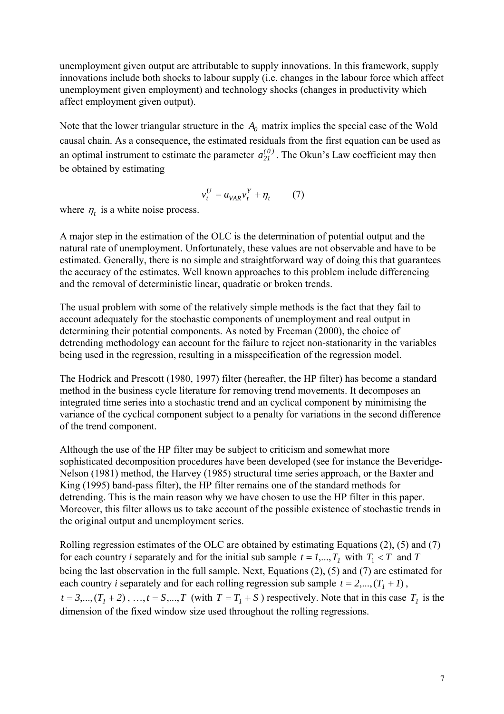unemployment given output are attributable to supply innovations. In this framework, supply innovations include both shocks to labour supply (i.e. changes in the labour force which affect unemployment given employment) and technology shocks (changes in productivity which affect employment given output).

Note that the lower triangular structure in the  $A_0$  matrix implies the special case of the Wold causal chain. As a consequence, the estimated residuals from the first equation can be used as an optimal instrument to estimate the parameter  $a_{21}^{(0)}$ . The Okun's Law coefficient may then be obtained by estimating

$$
v_t^U = a_{VAR} v_t^Y + \eta_t \qquad (7)
$$

where  $\eta_t$  is a white noise process.

A major step in the estimation of the OLC is the determination of potential output and the natural rate of unemployment. Unfortunately, these values are not observable and have to be estimated. Generally, there is no simple and straightforward way of doing this that guarantees the accuracy of the estimates. Well known approaches to this problem include differencing and the removal of deterministic linear, quadratic or broken trends.

The usual problem with some of the relatively simple methods is the fact that they fail to account adequately for the stochastic components of unemployment and real output in determining their potential components. As noted by Freeman (2000), the choice of detrending methodology can account for the failure to reject non-stationarity in the variables being used in the regression, resulting in a misspecification of the regression model.

The Hodrick and Prescott (1980, 1997) filter (hereafter, the HP filter) has become a standard method in the business cycle literature for removing trend movements. It decomposes an integrated time series into a stochastic trend and an cyclical component by minimising the variance of the cyclical component subject to a penalty for variations in the second difference of the trend component.

Although the use of the HP filter may be subject to criticism and somewhat more sophisticated decomposition procedures have been developed (see for instance the Beveridge-Nelson (1981) method, the Harvey (1985) structural time series approach, or the Baxter and King (1995) band-pass filter), the HP filter remains one of the standard methods for detrending. This is the main reason why we have chosen to use the HP filter in this paper. Moreover, this filter allows us to take account of the possible existence of stochastic trends in the original output and unemployment series.

Rolling regression estimates of the OLC are obtained by estimating Equations (2), (5) and (7) for each country *i* separately and for the initial sub sample  $t = 1,..., T_1$  with  $T_1 < T$  and *T* being the last observation in the full sample. Next, Equations (2), (5) and (7) are estimated for each country *i* separately and for each rolling regression sub sample  $t = 2,...,(T_1 + 1)$ ,  $t = 3,...,(T_1 + 2),..., t = S,...,T$  (with  $T = T_1 + S$ ) respectively. Note that in this case  $T_1$  is the dimension of the fixed window size used throughout the rolling regressions.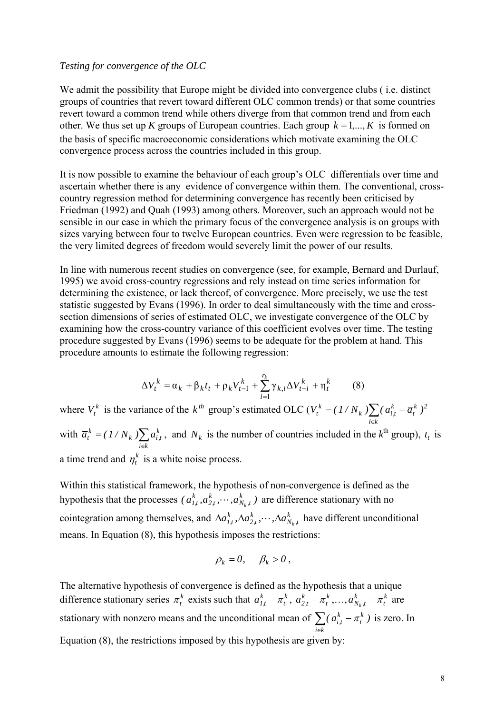#### *Testing for convergence of the OLC*

We admit the possibility that Europe might be divided into convergence clubs (*i.e. distinct*) groups of countries that revert toward different OLC common trends) or that some countries revert toward a common trend while others diverge from that common trend and from each other. We thus set up *K* groups of European countries. Each group  $k = 1, ..., K$  is formed on the basis of specific macroeconomic considerations which motivate examining the OLC convergence process across the countries included in this group.

It is now possible to examine the behaviour of each group's OLC differentials over time and ascertain whether there is any evidence of convergence within them. The conventional, crosscountry regression method for determining convergence has recently been criticised by Friedman (1992) and Quah (1993) among others. Moreover, such an approach would not be sensible in our case in which the primary focus of the convergence analysis is on groups with sizes varying between four to twelve European countries. Even were regression to be feasible, the very limited degrees of freedom would severely limit the power of our results.

In line with numerous recent studies on convergence (see, for example, Bernard and Durlauf, 1995) we avoid cross-country regressions and rely instead on time series information for determining the existence, or lack thereof, of convergence. More precisely, we use the test statistic suggested by Evans (1996). In order to deal simultaneously with the time and crosssection dimensions of series of estimated OLC, we investigate convergence of the OLC by examining how the cross-country variance of this coefficient evolves over time. The testing procedure suggested by Evans (1996) seems to be adequate for the problem at hand. This procedure amounts to estimate the following regression:

$$
\Delta V_t^k = \alpha_k + \beta_k t_t + \rho_k V_{t-1}^k + \sum_{i=1}^{r_k} \gamma_{k,i} \Delta V_{t-i}^k + \eta_t^k \tag{8}
$$

where  $V_t^k$  is the variance of the  $k^{th}$  group's estimated OLC ( $V_t^k = (1/N_k) \sum_{i \in k}$  $=(1/N_k)\sum_{k}(a_{i,t}^{k}$ *i k k 2 t k*  $k \mathcal{L}$ <sup>( $u_{i,t}$ </sup>  $V_t^k = (1/N_k) \sum (a_{i,t}^k - \overline{a}_t^k)$ with  $\overline{a}_t^k = (1/N_k) \sum_{i \in k}$ = *i k k*  $k \not\perp u_{i,t}$  $\overline{a}_t^k = (1/N_k) \sum a_{i,t}^k$ , and  $N_k$  is the number of countries included in the  $k^{\text{th}}$  group),  $t_t$  is a time trend and  $\eta_t^k$  is a white noise process.

Within this statistical framework, the hypothesis of non-convergence is defined as the hypothesis that the processes  $(a_{1,t}^k, a_{2,t}^k, \dots, a_{N_k,t}^k)$  are difference stationary with no cointegration among themselves, and  $\Delta a_{1t}^k, \Delta a_{2t}^k, \cdots, \Delta a_{N_t}^k$  have different unconditional means. In Equation (8), this hypothesis imposes the restrictions: *k 2,t*  $^{k}_{1,t}$ ,  $a^{k}_{2,t}$ ,  $\cdots$ ,  $a^{k}_{N_{k}}$ *N ,t k 2,t*  $\Delta a_{1,t}^k, \Delta a_{2,t}^k, \cdots, \Delta a_{N_k}^k$ 

$$
\rho_k = 0, \quad \beta_k > 0,
$$

The alternative hypothesis of convergence is defined as the hypothesis that a unique difference stationary series  $\pi_t^k$  exists such that  $a_{1,t}^k - \pi_t^k$ ,  $a_{2,t}^k - \pi_t^k$ , ...,  $a_{N_k,t}^k - \pi_t^k$  are stationary with nonzero means and the unconditional mean of  $\sum_{i \in k}$  $a_{1,t}^k - \pi_t^k$ ,  $a_{2,t}^k - \pi_t^k$ , ...,  $a_{N_k,t}^k - \pi_t^k$  $a_{N_k,t}^k - \pi$ − *i k k t*  $(a_{i,t}^k - \pi_t^k)$  is zero. In Equation (8), the restrictions imposed by this hypothesis are given by: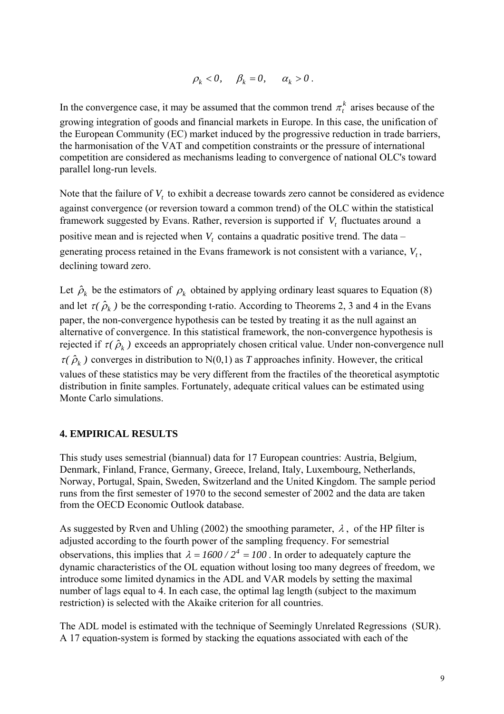$$
\rho_k < 0, \quad \beta_k = 0, \quad \alpha_k > 0 \, .
$$

In the convergence case, it may be assumed that the common trend  $\pi_t^k$  arises because of the growing integration of goods and financial markets in Europe. In this case, the unification of the European Community (EC) market induced by the progressive reduction in trade barriers, the harmonisation of the VAT and competition constraints or the pressure of international competition are considered as mechanisms leading to convergence of national OLC's toward parallel long-run levels.

Note that the failure of  $V_t$  to exhibit a decrease towards zero cannot be considered as evidence against convergence (or reversion toward a common trend) of the OLC within the statistical framework suggested by Evans. Rather, reversion is supported if  $V_t$  fluctuates around a positive mean and is rejected when  $V_t$  contains a quadratic positive trend. The data – generating process retained in the Evans framework is not consistent with a variance,  $V_t$ , declining toward zero.

Let  $\hat{\rho}_k$  be the estimators of  $\rho_k$  obtained by applying ordinary least squares to Equation (8) and let  $\tau(\hat{\rho}_k)$  be the corresponding t-ratio. According to Theorems 2, 3 and 4 in the Evans paper, the non-convergence hypothesis can be tested by treating it as the null against an alternative of convergence. In this statistical framework, the non-convergence hypothesis is rejected if  $\tau(\hat{\rho}_k)$  exceeds an appropriately chosen critical value. Under non-convergence null  $\tau(\hat{\rho}_k)$  converges in distribution to N(0,1) as *T* approaches infinity. However, the critical values of these statistics may be very different from the fractiles of the theoretical asymptotic distribution in finite samples. Fortunately, adequate critical values can be estimated using Monte Carlo simulations.

### **4. EMPIRICAL RESULTS**

This study uses semestrial (biannual) data for 17 European countries: Austria, Belgium, Denmark, Finland, France, Germany, Greece, Ireland, Italy, Luxembourg, Netherlands, Norway, Portugal, Spain, Sweden, Switzerland and the United Kingdom. The sample period runs from the first semester of 1970 to the second semester of 2002 and the data are taken from the OECD Economic Outlook database.

As suggested by Rven and Uhling (2002) the smoothing parameter,  $\lambda$ , of the HP filter is adjusted according to the fourth power of the sampling frequency. For semestrial observations, this implies that  $\lambda = 1600 / 2^4 = 100$ . In order to adequately capture the dynamic characteristics of the OL equation without losing too many degrees of freedom, we introduce some limited dynamics in the ADL and VAR models by setting the maximal number of lags equal to 4. In each case, the optimal lag length (subject to the maximum restriction) is selected with the Akaike criterion for all countries.

The ADL model is estimated with the technique of Seemingly Unrelated Regressions (SUR). A 17 equation-system is formed by stacking the equations associated with each of the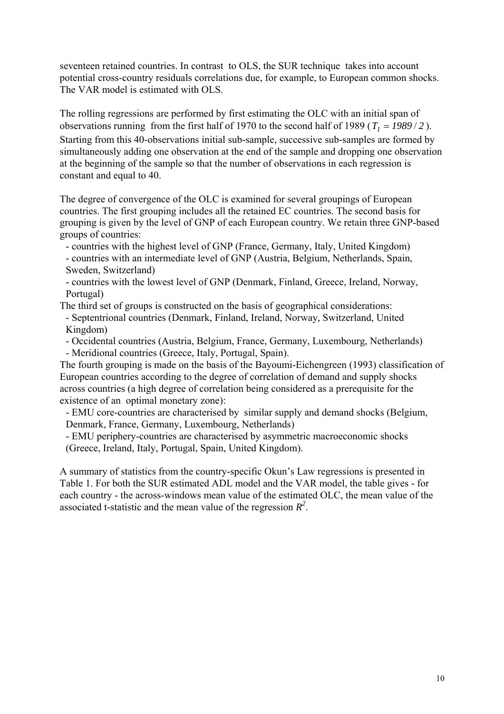seventeen retained countries. In contrast to OLS, the SUR technique takes into account potential cross-country residuals correlations due, for example, to European common shocks. The VAR model is estimated with OLS.

The rolling regressions are performed by first estimating the OLC with an initial span of observations running from the first half of 1970 to the second half of 1989 ( $T_1 = 1989/2$ ). Starting from this 40-observations initial sub-sample, successive sub-samples are formed by simultaneously adding one observation at the end of the sample and dropping one observation at the beginning of the sample so that the number of observations in each regression is constant and equal to 40.

The degree of convergence of the OLC is examined for several groupings of European countries. The first grouping includes all the retained EC countries. The second basis for grouping is given by the level of GNP of each European country. We retain three GNP-based groups of countries:

- countries with the highest level of GNP (France, Germany, Italy, United Kingdom)

- countries with an intermediate level of GNP (Austria, Belgium, Netherlands, Spain, Sweden, Switzerland)

- countries with the lowest level of GNP (Denmark, Finland, Greece, Ireland, Norway, Portugal)

The third set of groups is constructed on the basis of geographical considerations:

- Septentrional countries (Denmark, Finland, Ireland, Norway, Switzerland, United Kingdom)

- Occidental countries (Austria, Belgium, France, Germany, Luxembourg, Netherlands) - Meridional countries (Greece, Italy, Portugal, Spain).

The fourth grouping is made on the basis of the Bayoumi-Eichengreen (1993) classification of European countries according to the degree of correlation of demand and supply shocks across countries (a high degree of correlation being considered as a prerequisite for the existence of an optimal monetary zone):

- EMU core-countries are characterised by similar supply and demand shocks (Belgium, Denmark, France, Germany, Luxembourg, Netherlands)

- EMU periphery-countries are characterised by asymmetric macroeconomic shocks (Greece, Ireland, Italy, Portugal, Spain, United Kingdom).

A summary of statistics from the country-specific Okun's Law regressions is presented in Table 1. For both the SUR estimated ADL model and the VAR model, the table gives - for each country - the across-windows mean value of the estimated OLC, the mean value of the associated t-statistic and the mean value of the regression  $R^2$ .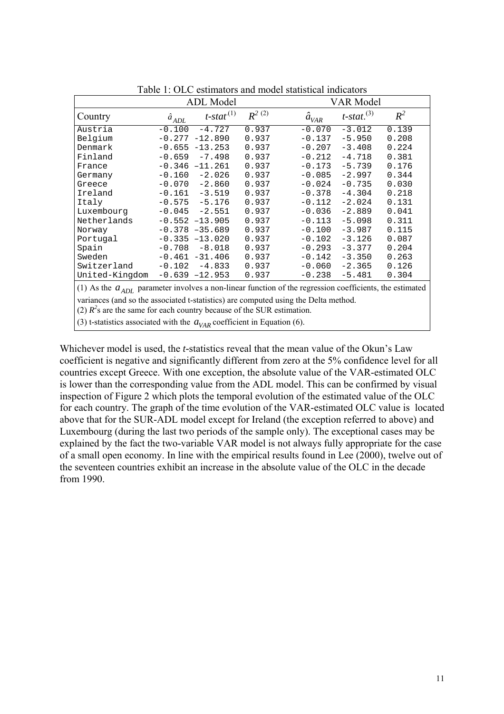|                       | <b>ADL</b> Model |                          |            |                                                                                      | <b>VAR Model</b>          |       |  |
|-----------------------|------------------|--------------------------|------------|--------------------------------------------------------------------------------------|---------------------------|-------|--|
| Country               | $a_{ADL}$        | $t$ -stat <sup>(1)</sup> | $R^{2(2)}$ | $\hat{a}_{\text{VAR}}$                                                               | $t$ -stat. <sup>(3)</sup> | $R^2$ |  |
| Austria               | $-0.100$         | $-4.727$                 | 0.937      | $-0.070$                                                                             | $-3.012$                  | 0.139 |  |
| Belgium               |                  | $-0.277 -12.890$         | 0.937      | $-0.137$                                                                             | $-5.950$                  | 0.208 |  |
| Denmark               |                  | $-0.655 -13.253$         | 0.937      | $-0.207$                                                                             | $-3.408$                  | 0.224 |  |
| Finland               | $-0.659$         | $-7.498$                 | 0.937      | $-0.212$                                                                             | $-4.718$                  | 0.381 |  |
| France                |                  | $-0.346 -11.261$         | 0.937      | $-0.173$                                                                             | $-5.739$                  | 0.176 |  |
| Germany               | $-0.160$         | $-2.026$                 | 0.937      | $-0.085$                                                                             | $-2.997$                  | 0.344 |  |
| Greece                | $-0.070$         | $-2.860$                 | 0.937      | $-0.024$                                                                             | $-0.735$                  | 0.030 |  |
| Ireland               | $-0.161$         | $-3.519$                 | 0.937      | $-0.378$                                                                             | $-4.304$                  | 0.218 |  |
| Italy                 | $-0.575$         | $-5.176$                 | 0.937      | $-0.112$                                                                             | $-2.024$                  | 0.131 |  |
| Luxembourg            | $-0.045$         | $-2.551$                 | 0.937      | $-0.036$                                                                             | $-2.889$                  | 0.041 |  |
| Netherlands           |                  | $-0.552 -13.905$         | 0.937      | $-0.113$                                                                             | $-5.098$                  | 0.311 |  |
| Norway                |                  | $-0.378 - 35.689$        | 0.937      | $-0.100$                                                                             | $-3.987$                  | 0.115 |  |
| Portugal              |                  | $-0.335 -13.020$         | 0.937      | $-0.102$                                                                             | $-3.126$                  | 0.087 |  |
| Spain                 | $-0.708$         | $-8.018$                 | 0.937      | $-0.293$                                                                             | $-3.377$                  | 0.204 |  |
| Sweden                |                  | $-0.461 - 31.406$        | 0.937      | $-0.142$                                                                             | $-3.350$                  | 0.263 |  |
| Switzerland           | $-0.102$         | $-4.833$                 | 0.937      | $-0.060$                                                                             | $-2.365$                  | 0.126 |  |
| United-Kingdom        |                  | $-0.639 -12.953$         | 0.937      | $-0.238$                                                                             | $-5.481$                  | 0.304 |  |
| $(1)$ As the $\alpha$ |                  |                          |            | pergmater involves a new linear function of the recreasion escationate the estimated |                           |       |  |

Table 1: OLC estimators and model statistical indicators

(1) As the  $a_{ADL}$  parameter involves a non-linear function of the regression coefficients, the estimated

variances (and so the associated t-statistics) are computed using the Delta method.

(2)  $R^2$ s are the same for each country because of the SUR estimation.

(3) t-statistics associated with the  $a_{VAR}$  coefficient in Equation (6).

Whichever model is used, the *t-*statistics reveal that the mean value of the Okun's Law coefficient is negative and significantly different from zero at the 5% confidence level for all countries except Greece. With one exception, the absolute value of the VAR-estimated OLC is lower than the corresponding value from the ADL model. This can be confirmed by visual inspection of Figure 2 which plots the temporal evolution of the estimated value of the OLC for each country. The graph of the time evolution of the VAR-estimated OLC value is located above that for the SUR-ADL model except for Ireland (the exception referred to above) and Luxembourg (during the last two periods of the sample only). The exceptional cases may be explained by the fact the two-variable VAR model is not always fully appropriate for the case of a small open economy. In line with the empirical results found in Lee (2000), twelve out of the seventeen countries exhibit an increase in the absolute value of the OLC in the decade from 1990.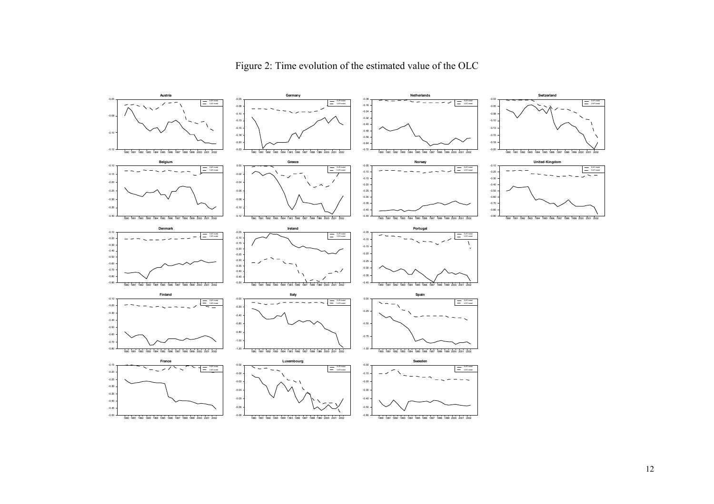

Figure 2: Time evolution of the estimated value of the OLC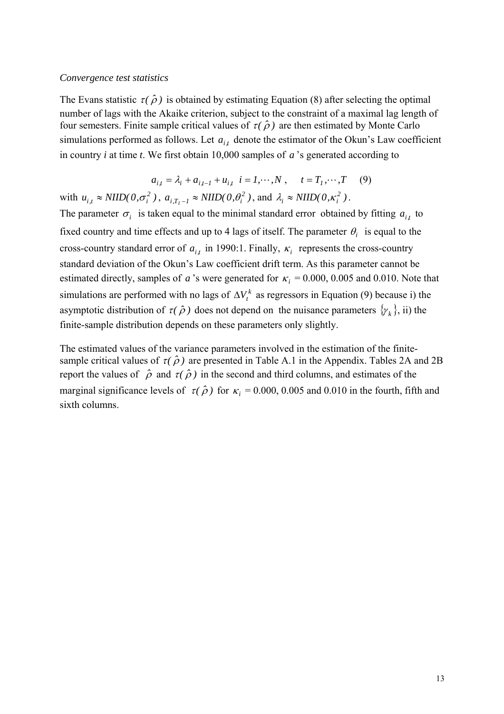#### *Convergence test statistics*

The Evans statistic  $\tau(\hat{\rho})$  is obtained by estimating Equation (8) after selecting the optimal number of lags with the Akaike criterion, subject to the constraint of a maximal lag length of four semesters. Finite sample critical values of  $\tau(\hat{\rho})$  are then estimated by Monte Carlo simulations performed as follows. Let  $a_{i,t}$  denote the estimator of the Okun's Law coefficient in country *i* at time *t*. We first obtain 10,000 samples of  $a$ 's generated according to

$$
a_{i,t} = \lambda_i + a_{i,t-1} + u_{i,t} \quad i = 1, \cdots, N \; , \qquad t = T_1, \cdots, T \tag{9}
$$

with  $u_{i,t} \approx NIID(0, \sigma_i^2)$ ,  $a_{i,T_i-1} \approx NIID(0, \theta_i^2)$ , and  $\lambda_i \approx NIID(0, \kappa_i^2)$ .

The parameter  $\sigma_i$  is taken equal to the minimal standard error obtained by fitting  $a_{i,t}$  to fixed country and time effects and up to 4 lags of itself. The parameter  $\theta_i$  is equal to the cross-country standard error of  $a_{i,t}$  in 1990:1. Finally,  $\kappa_i$  represents the cross-country standard deviation of the Okun's Law coefficient drift term. As this parameter cannot be estimated directly, samples of *a* 's were generated for  $\kappa_i = 0.000, 0.005$  and 0.010. Note that simulations are performed with no lags of  $\Delta V_t^k$  as regressors in Equation (9) because i) the asymptotic distribution of  $\tau(\hat{\rho})$  does not depend on the nuisance parameters  $\{\gamma_k\}$ , ii) the finite-sample distribution depends on these parameters only slightly.

The estimated values of the variance parameters involved in the estimation of the finitesample critical values of  $\tau(\hat{\rho})$  are presented in Table A.1 in the Appendix. Tables 2A and 2B report the values of  $\hat{\rho}$  and  $\tau(\hat{\rho})$  in the second and third columns, and estimates of the marginal significance levels of  $\tau(\hat{\rho})$  for  $\kappa_i = 0.000, 0.005$  and 0.010 in the fourth, fifth and sixth columns.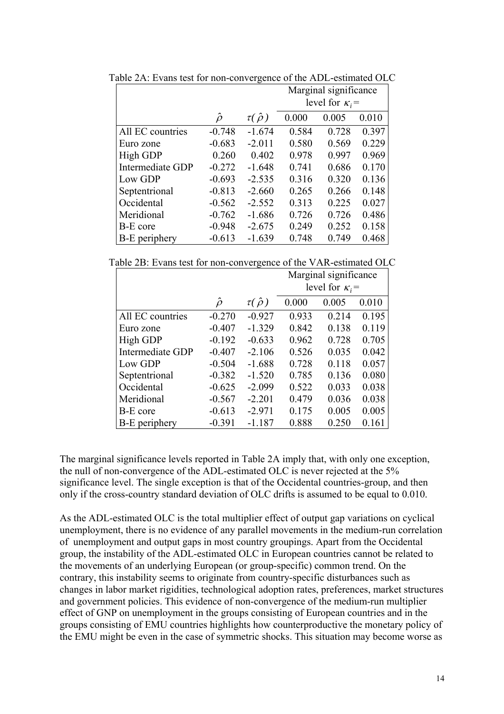|                      |              |                    | Marginal significance  |       |       |
|----------------------|--------------|--------------------|------------------------|-------|-------|
|                      |              |                    | level for $\kappa_i$ = |       |       |
|                      | $\hat{\rho}$ | $\tau(\hat{\rho})$ | 0.000                  | 0.005 | 0.010 |
| All EC countries     | $-0.748$     | $-1.674$           | 0.584                  | 0.728 | 0.397 |
| Euro zone            | $-0.683$     | $-2.011$           | 0.580                  | 0.569 | 0.229 |
| High GDP             | 0.260        | 0.402              | 0.978                  | 0.997 | 0.969 |
| Intermediate GDP     | $-0.272$     | $-1.648$           | 0.741                  | 0.686 | 0.170 |
| Low GDP              | $-0.693$     | $-2.535$           | 0.316                  | 0.320 | 0.136 |
| Septentrional        | $-0.813$     | $-2.660$           | 0.265                  | 0.266 | 0.148 |
| Occidental           | $-0.562$     | $-2.552$           | 0.313                  | 0.225 | 0.027 |
| Meridional           | $-0.762$     | $-1.686$           | 0.726                  | 0.726 | 0.486 |
| <b>B-E</b> core      | $-0.948$     | $-2.675$           | 0.249                  | 0.252 | 0.158 |
| <b>B-E</b> periphery | $-0.613$     | $-1.639$           | 0.748                  | 0.749 | 0.468 |

Table 2A: Evans test for non-convergence of the ADL-estimated OLC

Table 2B: Evans test for non-convergence of the VAR-estimated OLC

|                      |              |                    | Marginal significance  |       |       |
|----------------------|--------------|--------------------|------------------------|-------|-------|
|                      |              |                    | level for $\kappa_i$ = |       |       |
|                      | $\hat{\rho}$ | $\tau(\hat{\rho})$ | 0.000                  | 0.005 | 0.010 |
| All EC countries     | $-0.270$     | $-0.927$           | 0.933                  | 0.214 | 0.195 |
| Euro zone            | $-0.407$     | $-1.329$           | 0.842                  | 0.138 | 0.119 |
| High GDP             | $-0.192$     | $-0.633$           | 0.962                  | 0.728 | 0.705 |
| Intermediate GDP     | $-0.407$     | $-2.106$           | 0.526                  | 0.035 | 0.042 |
| Low GDP              | $-0.504$     | $-1.688$           | 0.728                  | 0.118 | 0.057 |
| Septentrional        | $-0.382$     | $-1.520$           | 0.785                  | 0.136 | 0.080 |
| Occidental           | $-0.625$     | $-2.099$           | 0.522                  | 0.033 | 0.038 |
| Meridional           | $-0.567$     | $-2.201$           | 0.479                  | 0.036 | 0.038 |
| <b>B-E</b> core      | $-0.613$     | $-2.971$           | 0.175                  | 0.005 | 0.005 |
| <b>B-E</b> periphery | $-0.391$     | $-1.187$           | 0.888                  | 0.250 | 0.161 |

The marginal significance levels reported in Table 2A imply that, with only one exception, the null of non-convergence of the ADL-estimated OLC is never rejected at the 5% significance level. The single exception is that of the Occidental countries-group, and then only if the cross-country standard deviation of OLC drifts is assumed to be equal to 0.010.

As the ADL-estimated OLC is the total multiplier effect of output gap variations on cyclical unemployment, there is no evidence of any parallel movements in the medium-run correlation of unemployment and output gaps in most country groupings. Apart from the Occidental group, the instability of the ADL-estimated OLC in European countries cannot be related to the movements of an underlying European (or group-specific) common trend. On the contrary, this instability seems to originate from country-specific disturbances such as changes in labor market rigidities, technological adoption rates, preferences, market structures and government policies. This evidence of non-convergence of the medium-run multiplier effect of GNP on unemployment in the groups consisting of European countries and in the groups consisting of EMU countries highlights how counterproductive the monetary policy of the EMU might be even in the case of symmetric shocks. This situation may become worse as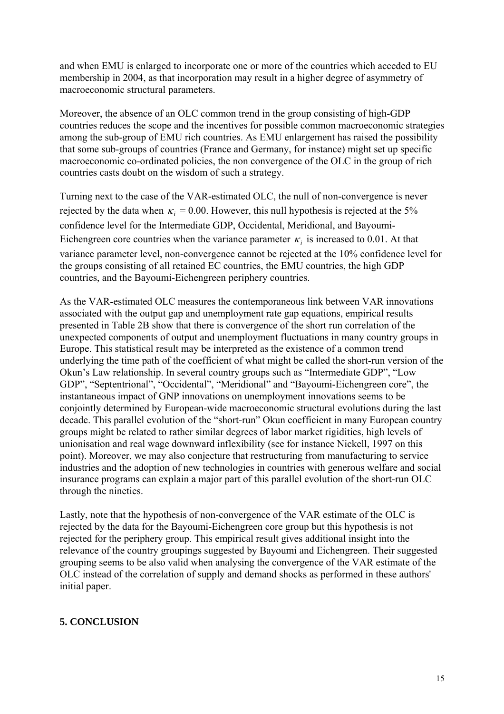and when EMU is enlarged to incorporate one or more of the countries which acceded to EU membership in 2004, as that incorporation may result in a higher degree of asymmetry of macroeconomic structural parameters.

Moreover, the absence of an OLC common trend in the group consisting of high-GDP countries reduces the scope and the incentives for possible common macroeconomic strategies among the sub-group of EMU rich countries. As EMU enlargement has raised the possibility that some sub-groups of countries (France and Germany, for instance) might set up specific macroeconomic co-ordinated policies, the non convergence of the OLC in the group of rich countries casts doubt on the wisdom of such a strategy.

Turning next to the case of the VAR-estimated OLC, the null of non-convergence is never rejected by the data when  $\kappa_i = 0.00$ . However, this null hypothesis is rejected at the 5% confidence level for the Intermediate GDP, Occidental, Meridional, and Bayoumi-Eichengreen core countries when the variance parameter  $\kappa_i$  is increased to 0.01. At that variance parameter level, non-convergence cannot be rejected at the 10% confidence level for the groups consisting of all retained EC countries, the EMU countries, the high GDP countries, and the Bayoumi-Eichengreen periphery countries.

As the VAR-estimated OLC measures the contemporaneous link between VAR innovations associated with the output gap and unemployment rate gap equations, empirical results presented in Table 2B show that there is convergence of the short run correlation of the unexpected components of output and unemployment fluctuations in many country groups in Europe. This statistical result may be interpreted as the existence of a common trend underlying the time path of the coefficient of what might be called the short-run version of the Okun's Law relationship. In several country groups such as "Intermediate GDP", "Low GDP", "Septentrional", "Occidental", "Meridional" and "Bayoumi-Eichengreen core", the instantaneous impact of GNP innovations on unemployment innovations seems to be conjointly determined by European-wide macroeconomic structural evolutions during the last decade. This parallel evolution of the "short-run" Okun coefficient in many European country groups might be related to rather similar degrees of labor market rigidities, high levels of unionisation and real wage downward inflexibility (see for instance Nickell, 1997 on this point). Moreover, we may also conjecture that restructuring from manufacturing to service industries and the adoption of new technologies in countries with generous welfare and social insurance programs can explain a major part of this parallel evolution of the short-run OLC through the nineties.

Lastly, note that the hypothesis of non-convergence of the VAR estimate of the OLC is rejected by the data for the Bayoumi-Eichengreen core group but this hypothesis is not rejected for the periphery group. This empirical result gives additional insight into the relevance of the country groupings suggested by Bayoumi and Eichengreen. Their suggested grouping seems to be also valid when analysing the convergence of the VAR estimate of the OLC instead of the correlation of supply and demand shocks as performed in these authors' initial paper.

# **5. CONCLUSION**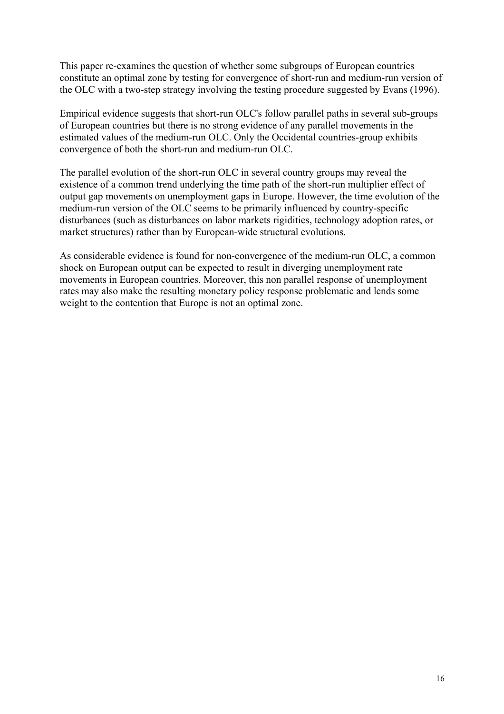This paper re-examines the question of whether some subgroups of European countries constitute an optimal zone by testing for convergence of short-run and medium-run version of the OLC with a two-step strategy involving the testing procedure suggested by Evans (1996).

Empirical evidence suggests that short-run OLC's follow parallel paths in several sub-groups of European countries but there is no strong evidence of any parallel movements in the estimated values of the medium-run OLC. Only the Occidental countries-group exhibits convergence of both the short-run and medium-run OLC.

The parallel evolution of the short-run OLC in several country groups may reveal the existence of a common trend underlying the time path of the short-run multiplier effect of output gap movements on unemployment gaps in Europe. However, the time evolution of the medium-run version of the OLC seems to be primarily influenced by country-specific disturbances (such as disturbances on labor markets rigidities, technology adoption rates, or market structures) rather than by European-wide structural evolutions.

As considerable evidence is found for non-convergence of the medium-run OLC, a common shock on European output can be expected to result in diverging unemployment rate movements in European countries. Moreover, this non parallel response of unemployment rates may also make the resulting monetary policy response problematic and lends some weight to the contention that Europe is not an optimal zone.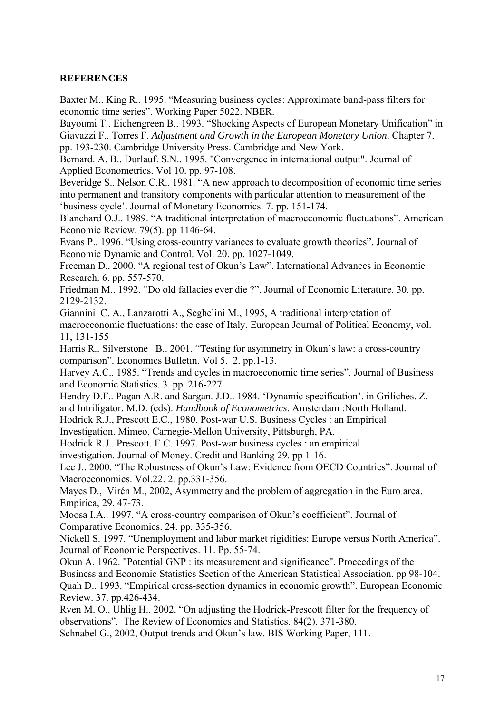## **REFERENCES**

Baxter M.. King R.. 1995. "Measuring business cycles: Approximate band-pass filters for economic time series". Working Paper 5022. NBER.

Bayoumi T.. Eichengreen B.. 1993. "Shocking Aspects of European Monetary Unification" in Giavazzi F.. Torres F. *Adjustment and Growth in the European Monetary Union*. Chapter 7. pp. 193-230. Cambridge University Press. Cambridge and New York.

Bernard. A. B.. Durlauf. S.N.. 1995. "Convergence in international output". Journal of Applied Econometrics. Vol 10. pp. 97-108.

Beveridge S.. Nelson C.R.. 1981. "A new approach to decomposition of economic time series into permanent and transitory components with particular attention to measurement of the 'business cycle'. Journal of Monetary Economics. 7. pp. 151-174.

Blanchard O.J.. 1989. "A traditional interpretation of macroeconomic fluctuations". American Economic Review. 79(5). pp 1146-64.

Evans P.. 1996. "Using cross-country variances to evaluate growth theories". Journal of Economic Dynamic and Control. Vol. 20. pp. 1027-1049.

Freeman D.. 2000. "A regional test of Okun's Law". International Advances in Economic Research. 6. pp. 557-570.

Friedman M.. 1992. "Do old fallacies ever die ?". Journal of Economic Literature. 30. pp. 2129-2132.

Giannini C. A., Lanzarotti A., Seghelini M., 1995, A traditional interpretation of

macroeconomic fluctuations: the case of Italy. European Journal of Political Economy, vol. 11, 131-155

Harris R.. Silverstone B.. 2001. "Testing for asymmetry in Okun's law: a cross-country comparison". Economics Bulletin. Vol 5. 2. pp.1-13.

Harvey A.C.. 1985. "Trends and cycles in macroeconomic time series". Journal of Business and Economic Statistics. 3. pp. 216-227.

Hendry D.F.. Pagan A.R. and Sargan. J.D.. 1984. 'Dynamic specification'. in Griliches. Z. and Intriligator. M.D. (eds). *Handbook of Econometrics*. Amsterdam :North Holland.

Hodrick R.J., Prescott E.C., 1980. Post-war U.S. Business Cycles : an Empirical

Investigation. Mimeo, Carnegie-Mellon University, Pittsburgh, PA.

Hodrick R.J.. Prescott. E.C. 1997. Post-war business cycles : an empirical

investigation. Journal of Money. Credit and Banking 29. pp 1-16.

Lee J.. 2000. "The Robustness of Okun's Law: Evidence from OECD Countries". Journal of Macroeconomics. Vol.22. 2. pp.331-356.

Mayes D., Virén M., 2002, Asymmetry and the problem of aggregation in the Euro area. Empirica, 29, 47-73.

Moosa I.A.. 1997. "A cross-country comparison of Okun's coefficient". Journal of Comparative Economics. 24. pp. 335-356.

Nickell S. 1997. "Unemployment and labor market rigidities: Europe versus North America". Journal of Economic Perspectives. 11. Pp. 55-74.

Okun A. 1962. "Potential GNP : its measurement and significance". Proceedings of the Business and Economic Statistics Section of the American Statistical Association. pp 98-104. Quah D.. 1993. "Empirical cross-section dynamics in economic growth". European Economic Review. 37. pp.426-434.

Rven M. O.. Uhlig H.. 2002. "On adjusting the Hodrick-Prescott filter for the frequency of observations". The Review of Economics and Statistics. 84(2). 371-380.

Schnabel G., 2002, Output trends and Okun's law. BIS Working Paper, 111.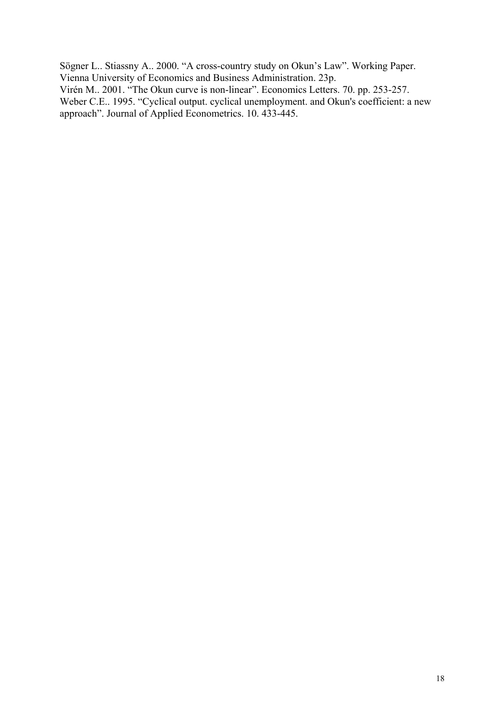Sögner L.. Stiassny A.. 2000. "A cross-country study on Okun's Law". Working Paper. Vienna University of Economics and Business Administration. 23p. Virén M.. 2001. "The Okun curve is non-linear". Economics Letters. 70. pp. 253-257.

Weber C.E.. 1995. "Cyclical output. cyclical unemployment. and Okun's coefficient: a new approach". Journal of Applied Econometrics. 10. 433-445.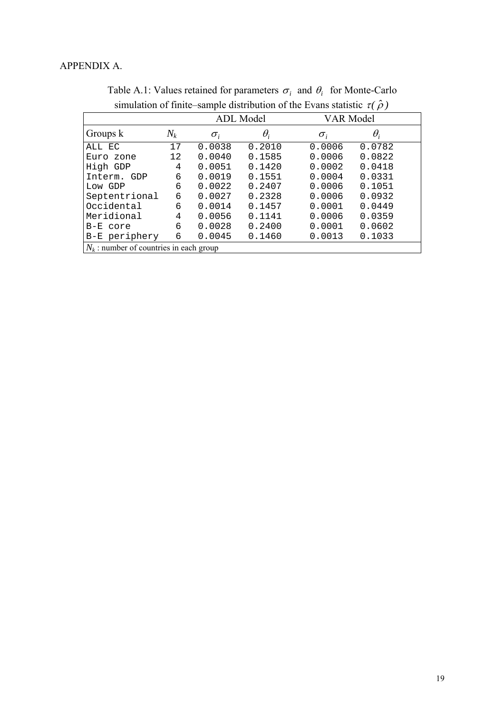|                                           |                   | л.               |            |              |            |  |
|-------------------------------------------|-------------------|------------------|------------|--------------|------------|--|
|                                           |                   | <b>ADL</b> Model |            | VAR Model    |            |  |
| Groups k                                  | $N_k$             | $\sigma_i$       | $\theta_i$ | $\sigma_{i}$ | $\theta_i$ |  |
| ALL EC                                    | 17                | 0.0038           | 0.2010     | 0.0006       | 0.0782     |  |
| Euro zone                                 | $12 \overline{ }$ | 0.0040           | 0.1585     | 0.0006       | 0.0822     |  |
| High GDP                                  | 4                 | 0.0051           | 0.1420     | 0.0002       | 0.0418     |  |
| Interm. GDP                               | 6                 | 0.0019           | 0.1551     | 0.0004       | 0.0331     |  |
| Low GDP                                   | 6                 | 0.0022           | 0.2407     | 0.0006       | 0.1051     |  |
| Septentrional                             | 6                 | 0.0027           | 0.2328     | 0.0006       | 0.0932     |  |
| Occidental                                | 6                 | 0.0014           | 0.1457     | 0.0001       | 0.0449     |  |
| Meridional                                | 4                 | 0.0056           | 0.1141     | 0.0006       | 0.0359     |  |
| B-E core                                  | 6                 | 0.0028           | 0.2400     | 0.0001       | 0.0602     |  |
| B-E periphery                             | 6                 | 0.0045           | 0.1460     | 0.0013       | 0.1033     |  |
| $N_k$ : number of countries in each group |                   |                  |            |              |            |  |

Table A.1: Values retained for parameters  $\sigma_i$  and  $\theta_i$  for Monte-Carlo simulation of finite–sample distribution of the Evans statistic  $\tau(\hat{\rho})$